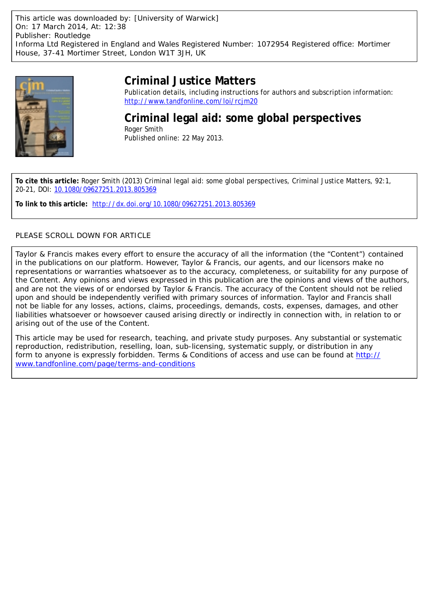

# **Criminal Justice Matters**

Publication details, including instructions for authors and subscription information: <http://www.tandfonline.com/loi/rcjm20>

**Criminal legal aid: some global perspectives** Roger Smith Published online: 22 May 2013.

**To cite this article:** Roger Smith (2013) Criminal legal aid: some global perspectives, Criminal Justice Matters, 92:1, 20-21, DOI: [10.1080/09627251.2013.805369](http://www.tandfonline.com/action/showCitFormats?doi=10.1080/09627251.2013.805369)

**To link to this article:** <http://dx.doi.org/10.1080/09627251.2013.805369>

# PLEASE SCROLL DOWN FOR ARTICLE

Taylor & Francis makes every effort to ensure the accuracy of all the information (the "Content") contained in the publications on our platform. However, Taylor & Francis, our agents, and our licensors make no representations or warranties whatsoever as to the accuracy, completeness, or suitability for any purpose of the Content. Any opinions and views expressed in this publication are the opinions and views of the authors, and are not the views of or endorsed by Taylor & Francis. The accuracy of the Content should not be relied upon and should be independently verified with primary sources of information. Taylor and Francis shall not be liable for any losses, actions, claims, proceedings, demands, costs, expenses, damages, and other liabilities whatsoever or howsoever caused arising directly or indirectly in connection with, in relation to or arising out of the use of the Content.

This article may be used for research, teaching, and private study purposes. Any substantial or systematic reproduction, redistribution, reselling, loan, sub-licensing, systematic supply, or distribution in any form to anyone is expressly forbidden. Terms & Conditions of access and use can be found at [http://](http://www.tandfonline.com/page/terms-and-conditions) [www.tandfonline.com/page/terms-and-conditions](http://www.tandfonline.com/page/terms-and-conditions)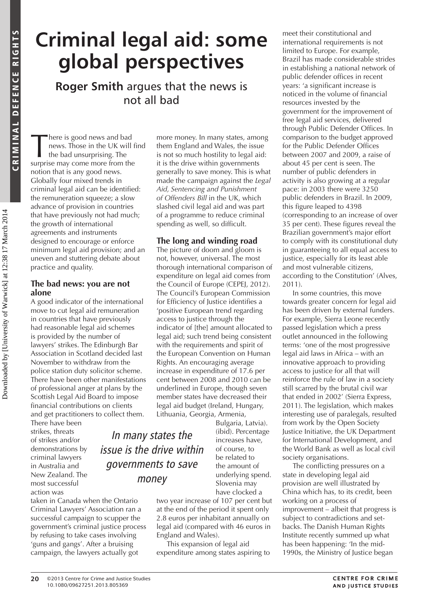—<br>C m

inal de

f

ence ri g h ts

CE RIGHTS

# **Criminal legal aid: some global perspectives**

**Roger Smith** argues that the news is not all bad

There is good news and bad<br>news. Those in the UK will<br>the bad unsurprising. The<br>surprise may come more from the news. Those in the UK will find the bad unsurprising. The surprise may come more from the notion that is any good news. Globally four mixed trends in criminal legal aid can be identified: the remuneration squeeze; a slow advance of provision in countries that have previously not had much; the growth of international agreements and instruments designed to encourage or enforce minimum legal aid provision; and an uneven and stuttering debate about practice and quality.

## **The bad news: you are not alone**

A good indicator of the international move to cut legal aid remuneration in countries that have previously had reasonable legal aid schemes is provided by the number of lawyers' strikes. The Edinburgh Bar Association in Scotland decided last November to withdraw from the police station duty solicitor scheme. There have been other manifestations of professional anger at plans by the Scottish Legal Aid Board to impose financial contributions on clients and get practitioners to collect them.

There have been strikes, threats of strikes and/or demonstrations by criminal lawyers in Australia and New Zealand. The most successful action was

taken in Canada when the Ontario Criminal Lawyers' Association ran a successful campaign to scupper the government's criminal justice process by refusing to take cases involving 'guns and gangs'. After a bruising campaign, the lawyers actually got

more money. In many states, among them England and Wales, the issue is not so much hostility to legal aid: it is the drive within governments generally to save money. This is what made the campaign against the *Legal Aid, Sentencing and Punishment of Offenders Bill* in the UK, which slashed civil legal aid and was part of a programme to reduce criminal spending as well, so difficult.

# **The long and winding road**

The picture of doom and gloom is not, however, universal. The most thorough international comparison of expenditure on legal aid comes from the Council of Europe (CEPEJ, 2012). The Council's European Commission for Efficiency of Justice identifies a 'positive European trend regarding access to justice through the indicator of [the] amount allocated to legal aid; such trend being consistent with the requirements and spirit of the European Convention on Human Rights. An encouraging average increase in expenditure of 17.6 per cent between 2008 and 2010 can be underlined in Europe, though seven member states have decreased their legal aid budget (Ireland, Hungary, Lithuania, Georgia, Armenia,

In many states the issue is the drive within governments to save money

Bulgaria, Latvia). (ibid). Percentage increases have, of course, to be related to the amount of underlying spend. Slovenia may have clocked a

two year increase of 107 per cent but at the end of the period it spent only 2.8 euros per inhabitant annually on legal aid (compared with 46 euros in England and Wales).

This expansion of legal aid expenditure among states aspiring to meet their constitutional and international requirements is not limited to Europe. For example, Brazil has made considerable strides in establishing a national network of public defender offices in recent years: 'a significant increase is noticed in the volume of financial resources invested by the government for the improvement of free legal aid services, delivered through Public Defender Offices. In comparison to the budget approved for the Public Defender Offices between 2007 and 2009, a raise of about 45 per cent is seen. The number of public defenders in activity is also growing at a regular pace: in 2003 there were 3250 public defenders in Brazil. In 2009, this figure leaped to 4398 (corresponding to an increase of over 35 per cent). These figures reveal the Brazilian government's major effort to comply with its constitutional duty in guaranteeing to all equal access to justice, especially for its least able and most vulnerable citizens, according to the Constitution' (Alves, 2011).

In some countries, this move towards greater concern for legal aid has been driven by external funders. For example, Sierra Leone recently passed legislation which a press outlet announced in the following terms: 'one of the most progressive legal aid laws in Africa – with an innovative approach to providing access to justice for all that will reinforce the rule of law in a society still scarred by the brutal civil war that ended in 2002' (Sierra Express, 2011). The legislation, which makes interesting use of paralegals, resulted from work by the Open Society Justice Initiative, the UK Department for International Development, and the World Bank as well as local civil society organisations.

The conflicting pressures on a state in developing legal aid provision are well illustrated by China which has, to its credit, been working on a process of improvement – albeit that progress is subject to contradictions and setbacks. The Danish Human Rights Institute recently summed up what has been happening: 'In the mid-1990s, the Ministry of Justice began